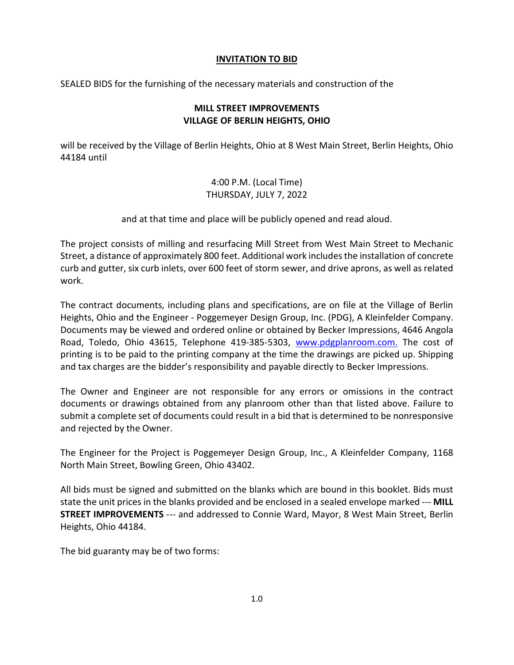## **INVITATION TO BID**

SEALED BIDS for the furnishing of the necessary materials and construction of the

## **MILL STREET IMPROVEMENTS VILLAGE OF BERLIN HEIGHTS, OHIO**

will be received by the Village of Berlin Heights, Ohio at 8 West Main Street, Berlin Heights, Ohio 44184 until

> 4:00 P.M. (Local Time) THURSDAY, JULY 7, 2022

and at that time and place will be publicly opened and read aloud.

The project consists of milling and resurfacing Mill Street from West Main Street to Mechanic Street, a distance of approximately 800 feet. Additional work includes the installation of concrete curb and gutter, six curb inlets, over 600 feet of storm sewer, and drive aprons, as well as related work.

The contract documents, including plans and specifications, are on file at the Village of Berlin Heights, Ohio and the Engineer - Poggemeyer Design Group, Inc. (PDG), A Kleinfelder Company. Documents may be viewed and ordered online or obtained by Becker Impressions, 4646 Angola Road, Toledo, Ohio 43615, Telephone 419-385-5303, [www.pdgplanroom.com.](http://www.pdgplanroom.com./) The cost of printing is to be paid to the printing company at the time the drawings are picked up. Shipping and tax charges are the bidder's responsibility and payable directly to Becker Impressions.

The Owner and Engineer are not responsible for any errors or omissions in the contract documents or drawings obtained from any planroom other than that listed above. Failure to submit a complete set of documents could result in a bid that is determined to be nonresponsive and rejected by the Owner.

The Engineer for the Project is Poggemeyer Design Group, Inc., A Kleinfelder Company, 1168 North Main Street, Bowling Green, Ohio 43402.

All bids must be signed and submitted on the blanks which are bound in this booklet. Bids must state the unit prices in the blanks provided and be enclosed in a sealed envelope marked --- **MILL STREET IMPROVEMENTS** --- and addressed to Connie Ward, Mayor, 8 West Main Street, Berlin Heights, Ohio 44184.

The bid guaranty may be of two forms: